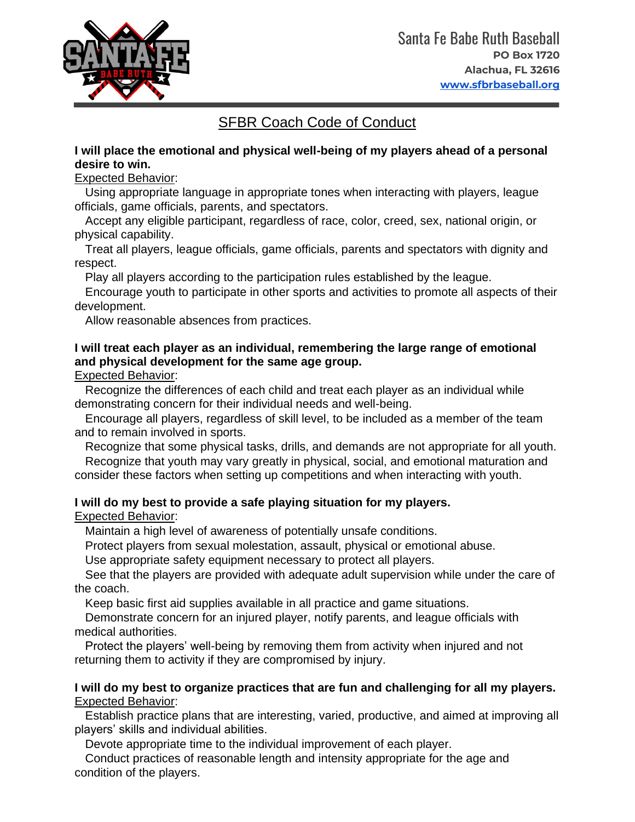

# SFBR Coach Code of Conduct

#### **I will place the emotional and physical well-being of my players ahead of a personal desire to win.**

# Expected Behavior:

Using appropriate language in appropriate tones when interacting with players, league officials, game officials, parents, and spectators.

Accept any eligible participant, regardless of race, color, creed, sex, national origin, or physical capability.

Treat all players, league officials, game officials, parents and spectators with dignity and respect.

Play all players according to the participation rules established by the league.

Encourage youth to participate in other sports and activities to promote all aspects of their development.

Allow reasonable absences from practices.

# **I will treat each player as an individual, remembering the large range of emotional and physical development for the same age group.**

Expected Behavior:

Recognize the differences of each child and treat each player as an individual while demonstrating concern for their individual needs and well-being.

Encourage all players, regardless of skill level, to be included as a member of the team and to remain involved in sports.

Recognize that some physical tasks, drills, and demands are not appropriate for all youth. Recognize that youth may vary greatly in physical, social, and emotional maturation and

consider these factors when setting up competitions and when interacting with youth.

# **I will do my best to provide a safe playing situation for my players.**

Expected Behavior:

Maintain a high level of awareness of potentially unsafe conditions.

Protect players from sexual molestation, assault, physical or emotional abuse.

Use appropriate safety equipment necessary to protect all players.

See that the players are provided with adequate adult supervision while under the care of the coach.

Keep basic first aid supplies available in all practice and game situations.

Demonstrate concern for an injured player, notify parents, and league officials with medical authorities.

Protect the players' well-being by removing them from activity when injured and not returning them to activity if they are compromised by injury.

#### **I will do my best to organize practices that are fun and challenging for all my players.** Expected Behavior:

Establish practice plans that are interesting, varied, productive, and aimed at improving all players' skills and individual abilities.

Devote appropriate time to the individual improvement of each player.

Conduct practices of reasonable length and intensity appropriate for the age and condition of the players.